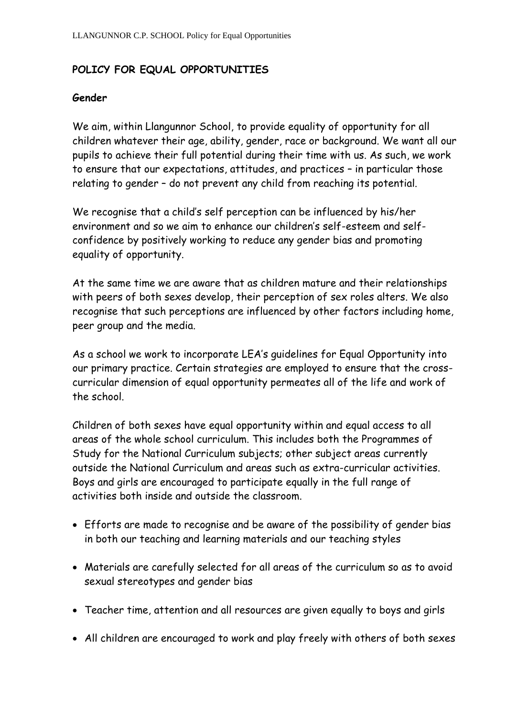## **POLICY FOR EQUAL OPPORTUNITIES**

## **Gender**

We aim, within Llangunnor School, to provide equality of opportunity for all children whatever their age, ability, gender, race or background. We want all our pupils to achieve their full potential during their time with us. As such, we work to ensure that our expectations, attitudes, and practices – in particular those relating to gender – do not prevent any child from reaching its potential.

We recognise that a child's self perception can be influenced by his/her environment and so we aim to enhance our children's self-esteem and selfconfidence by positively working to reduce any gender bias and promoting equality of opportunity.

At the same time we are aware that as children mature and their relationships with peers of both sexes develop, their perception of sex roles alters. We also recognise that such perceptions are influenced by other factors including home, peer group and the media.

As a school we work to incorporate LEA's guidelines for Equal Opportunity into our primary practice. Certain strategies are employed to ensure that the crosscurricular dimension of equal opportunity permeates all of the life and work of the school.

Children of both sexes have equal opportunity within and equal access to all areas of the whole school curriculum. This includes both the Programmes of Study for the National Curriculum subjects; other subject areas currently outside the National Curriculum and areas such as extra-curricular activities. Boys and girls are encouraged to participate equally in the full range of activities both inside and outside the classroom.

- Efforts are made to recognise and be aware of the possibility of gender bias in both our teaching and learning materials and our teaching styles
- Materials are carefully selected for all areas of the curriculum so as to avoid sexual stereotypes and gender bias
- Teacher time, attention and all resources are given equally to boys and girls
- All children are encouraged to work and play freely with others of both sexes